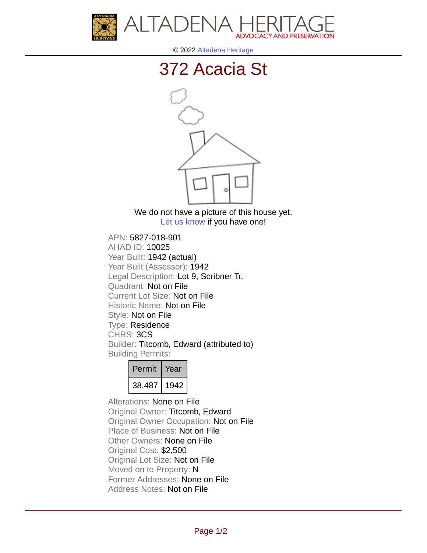



© 2022 [Altadena Heritage](http://altadenaheritage.org/)

## [372 Acacia St](ahad.altadenaheritagepdb.org/properties/10025)



We do not have a picture of this house yet. [Let us know](http://altadenaheritage.org/contact-us/) if you have one!

APN: 5827-018-901 [AHAD ID: 10025](ahad.altadenaheritagepdb.org/properties/10025) Year Built: 1942 (actual) Year Built (Assessor): 1942 Legal Description: Lot 9, Scribner Tr. Quadrant: Not on File Current Lot Size: Not on File Historic Name: Not on File Style: Not on File Type: Residence CHRS: 3CS Builder: Titcomb, Edward (attributed to) Building Permits:

| Permit | Year |
|--------|------|
| 38,487 | 1942 |

Alterations: None on File Original Owner: Titcomb, Edward Original Owner Occupation: Not on File Place of Business: Not on File Other Owners: None on File Original Cost: \$2,500 Original Lot Size: Not on File Moved on to Property: N Former Addresses: None on File Address Notes: Not on File